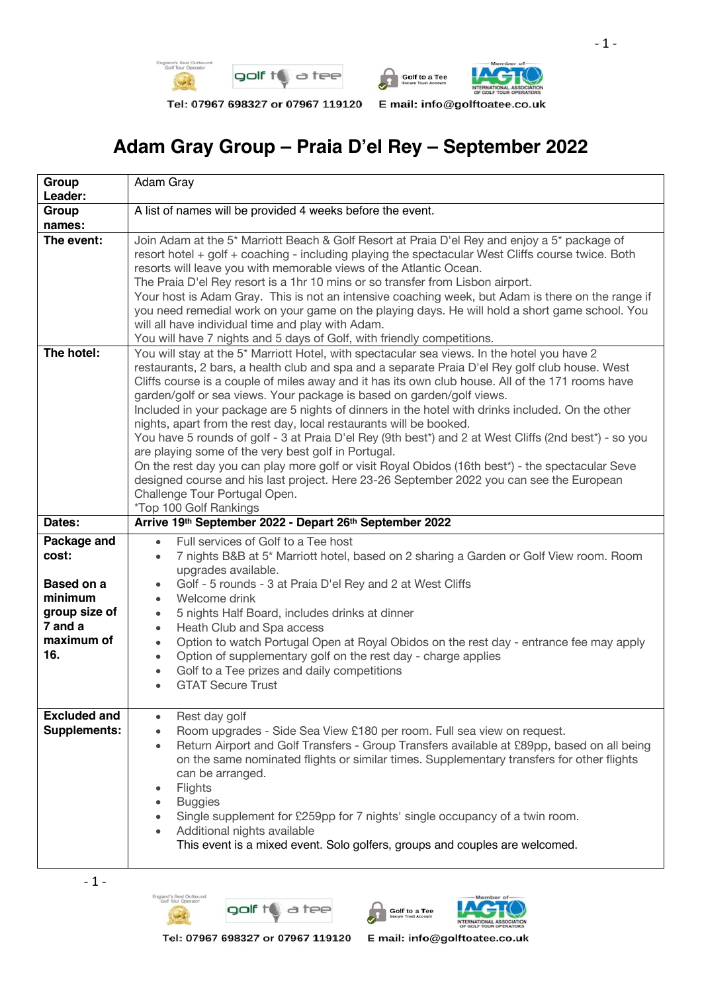

Tel: 07967 698327 or 07967 119120



## **Adam Gray Group – Praia D'el Rey – September 2022**

| Group                                         | Adam Gray                                                                                                                                                                                                                                                                                                                                                                                                                                                                                                                                                                                                                                                                                                                                                                                                                                                                                                                                                                                   |  |  |  |  |  |  |  |  |
|-----------------------------------------------|---------------------------------------------------------------------------------------------------------------------------------------------------------------------------------------------------------------------------------------------------------------------------------------------------------------------------------------------------------------------------------------------------------------------------------------------------------------------------------------------------------------------------------------------------------------------------------------------------------------------------------------------------------------------------------------------------------------------------------------------------------------------------------------------------------------------------------------------------------------------------------------------------------------------------------------------------------------------------------------------|--|--|--|--|--|--|--|--|
| Leader:                                       |                                                                                                                                                                                                                                                                                                                                                                                                                                                                                                                                                                                                                                                                                                                                                                                                                                                                                                                                                                                             |  |  |  |  |  |  |  |  |
| Group<br>names:                               | A list of names will be provided 4 weeks before the event.                                                                                                                                                                                                                                                                                                                                                                                                                                                                                                                                                                                                                                                                                                                                                                                                                                                                                                                                  |  |  |  |  |  |  |  |  |
| The event:                                    | Join Adam at the 5 <sup>*</sup> Marriott Beach & Golf Resort at Praia D'el Rey and enjoy a 5 <sup>*</sup> package of<br>resort hotel + golf + coaching - including playing the spectacular West Cliffs course twice. Both<br>resorts will leave you with memorable views of the Atlantic Ocean.<br>The Praia D'el Rey resort is a 1hr 10 mins or so transfer from Lisbon airport.<br>Your host is Adam Gray. This is not an intensive coaching week, but Adam is there on the range if                                                                                                                                                                                                                                                                                                                                                                                                                                                                                                      |  |  |  |  |  |  |  |  |
|                                               | you need remedial work on your game on the playing days. He will hold a short game school. You<br>will all have individual time and play with Adam.                                                                                                                                                                                                                                                                                                                                                                                                                                                                                                                                                                                                                                                                                                                                                                                                                                         |  |  |  |  |  |  |  |  |
|                                               | You will have 7 nights and 5 days of Golf, with friendly competitions.                                                                                                                                                                                                                                                                                                                                                                                                                                                                                                                                                                                                                                                                                                                                                                                                                                                                                                                      |  |  |  |  |  |  |  |  |
| The hotel:                                    | You will stay at the 5 <sup>*</sup> Marriott Hotel, with spectacular sea views. In the hotel you have 2<br>restaurants, 2 bars, a health club and spa and a separate Praia D'el Rey golf club house. West<br>Cliffs course is a couple of miles away and it has its own club house. All of the 171 rooms have<br>garden/golf or sea views. Your package is based on garden/golf views.<br>Included in your package are 5 nights of dinners in the hotel with drinks included. On the other<br>nights, apart from the rest day, local restaurants will be booked.<br>You have 5 rounds of golf - 3 at Praia D'el Rey (9th best*) and 2 at West Cliffs (2nd best*) - so you<br>are playing some of the very best golf in Portugal.<br>On the rest day you can play more golf or visit Royal Obidos (16th best*) - the spectacular Seve<br>designed course and his last project. Here 23-26 September 2022 you can see the European<br>Challenge Tour Portugal Open.<br>*Top 100 Golf Rankings |  |  |  |  |  |  |  |  |
| Dates:                                        | Arrive 19th September 2022 - Depart 26th September 2022                                                                                                                                                                                                                                                                                                                                                                                                                                                                                                                                                                                                                                                                                                                                                                                                                                                                                                                                     |  |  |  |  |  |  |  |  |
| Package and<br>cost:<br>Based on a<br>minimum | Full services of Golf to a Tee host<br>$\bullet$<br>7 nights B&B at 5* Marriott hotel, based on 2 sharing a Garden or Golf View room. Room<br>$\bullet$<br>upgrades available.<br>Golf - 5 rounds - 3 at Praia D'el Rey and 2 at West Cliffs<br>$\bullet$<br>Welcome drink<br>$\bullet$                                                                                                                                                                                                                                                                                                                                                                                                                                                                                                                                                                                                                                                                                                     |  |  |  |  |  |  |  |  |
| group size of<br>7 and a<br>maximum of<br>16. | 5 nights Half Board, includes drinks at dinner<br>$\bullet$<br>Heath Club and Spa access<br>$\bullet$<br>Option to watch Portugal Open at Royal Obidos on the rest day - entrance fee may apply<br>$\bullet$<br>Option of supplementary golf on the rest day - charge applies<br>$\bullet$<br>Golf to a Tee prizes and daily competitions<br>$\bullet$<br><b>GTAT Secure Trust</b>                                                                                                                                                                                                                                                                                                                                                                                                                                                                                                                                                                                                          |  |  |  |  |  |  |  |  |
| <b>Excluded and</b><br>Supplements:           | Rest day golf<br>$\bullet$<br>Room upgrades - Side Sea View £180 per room. Full sea view on request.<br>$\bullet$<br>Return Airport and Golf Transfers - Group Transfers available at £89pp, based on all being<br>$\bullet$<br>on the same nominated flights or similar times. Supplementary transfers for other flights<br>can be arranged.<br>Flights<br>$\bullet$<br><b>Buggies</b><br>Single supplement for £259pp for 7 nights' single occupancy of a twin room.<br>Additional nights available<br>This event is a mixed event. Solo golfers, groups and couples are welcomed.                                                                                                                                                                                                                                                                                                                                                                                                        |  |  |  |  |  |  |  |  |









Tel: 07967 698327 or 07967 119120

E mail: info@golftoatee.co.uk